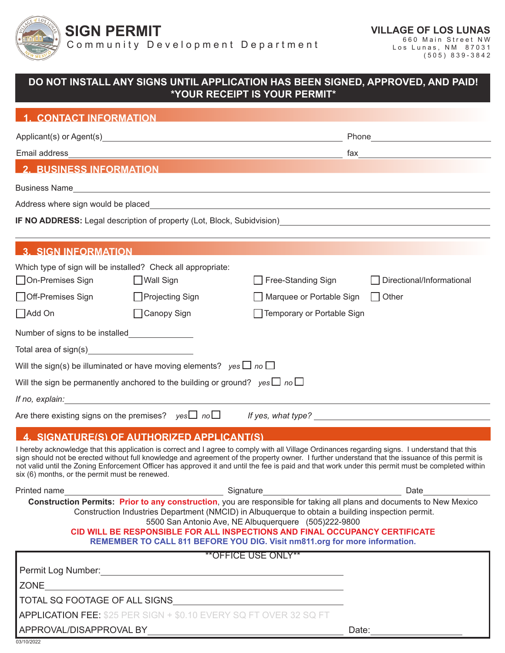

**SIGN PERMIT**

Community Development Department

| DO NOT INSTALL ANY SIGNS UNTIL APPLICATION HAS BEEN SIGNED, APPROVED, AND PAID!<br>*YOUR RECEIPT IS YOUR PERMIT* |                                                                                                                                                                                                                                                                |                                                      |                                                                                                                                                                                                                                                                                                                                                                                                                                                         |
|------------------------------------------------------------------------------------------------------------------|----------------------------------------------------------------------------------------------------------------------------------------------------------------------------------------------------------------------------------------------------------------|------------------------------------------------------|---------------------------------------------------------------------------------------------------------------------------------------------------------------------------------------------------------------------------------------------------------------------------------------------------------------------------------------------------------------------------------------------------------------------------------------------------------|
| <b>1. CONTACT INFORMATION</b>                                                                                    |                                                                                                                                                                                                                                                                |                                                      |                                                                                                                                                                                                                                                                                                                                                                                                                                                         |
|                                                                                                                  |                                                                                                                                                                                                                                                                |                                                      |                                                                                                                                                                                                                                                                                                                                                                                                                                                         |
| Email address                                                                                                    |                                                                                                                                                                                                                                                                |                                                      |                                                                                                                                                                                                                                                                                                                                                                                                                                                         |
|                                                                                                                  | <b>2. BUSINESS INFORMATION</b>                                                                                                                                                                                                                                 |                                                      |                                                                                                                                                                                                                                                                                                                                                                                                                                                         |
|                                                                                                                  |                                                                                                                                                                                                                                                                |                                                      |                                                                                                                                                                                                                                                                                                                                                                                                                                                         |
| Address where sign would be placed                                                                               |                                                                                                                                                                                                                                                                |                                                      | and the control of the control of the control of the control of the control of the control of the control of the                                                                                                                                                                                                                                                                                                                                        |
|                                                                                                                  |                                                                                                                                                                                                                                                                |                                                      | IF NO ADDRESS: Legal description of property (Lot, Block, Subidvision)<br>Manuscription (Manuscription Control of Anthropology Control of Anthropology Control of Anthropology Control o                                                                                                                                                                                                                                                                |
| <b>3. SIGN INFORMATION</b>                                                                                       |                                                                                                                                                                                                                                                                |                                                      |                                                                                                                                                                                                                                                                                                                                                                                                                                                         |
| □ On-Premises Sign                                                                                               | Which type of sign will be installed? Check all appropriate:<br>□ Wall Sign                                                                                                                                                                                    | Free-Standing Sign                                   | Directional/Informational                                                                                                                                                                                                                                                                                                                                                                                                                               |
| □ Off-Premises Sign                                                                                              | $\Box$ Projecting Sign                                                                                                                                                                                                                                         | Marquee or Portable Sign                             | $\Box$ Other                                                                                                                                                                                                                                                                                                                                                                                                                                            |
| $\Box$ Add On                                                                                                    | □ Canopy Sign                                                                                                                                                                                                                                                  | Temporary or Portable Sign                           |                                                                                                                                                                                                                                                                                                                                                                                                                                                         |
| Number of signs to be installed_______________                                                                   |                                                                                                                                                                                                                                                                |                                                      |                                                                                                                                                                                                                                                                                                                                                                                                                                                         |
| Total area of sign(s)______________________________                                                              |                                                                                                                                                                                                                                                                |                                                      |                                                                                                                                                                                                                                                                                                                                                                                                                                                         |
|                                                                                                                  | Will the sign(s) be illuminated or have moving elements? yes $\Box$ no $\Box$                                                                                                                                                                                  |                                                      |                                                                                                                                                                                                                                                                                                                                                                                                                                                         |
|                                                                                                                  | Will the sign be permanently anchored to the building or ground? yes $\Box$ no $\Box$                                                                                                                                                                          |                                                      |                                                                                                                                                                                                                                                                                                                                                                                                                                                         |
|                                                                                                                  | If no, explain: The state of the state of the state of the state of the state of the state of the state of the                                                                                                                                                 |                                                      |                                                                                                                                                                                                                                                                                                                                                                                                                                                         |
| Are there existing signs on the premises? yes $\Box$ no $\Box$                                                   |                                                                                                                                                                                                                                                                |                                                      |                                                                                                                                                                                                                                                                                                                                                                                                                                                         |
|                                                                                                                  | SIGNATURE(S) OF AUTHORIZED APPLICANT(S                                                                                                                                                                                                                         |                                                      |                                                                                                                                                                                                                                                                                                                                                                                                                                                         |
| six (6) months, or the permit must be renewed.                                                                   |                                                                                                                                                                                                                                                                |                                                      | I hereby acknowledge that this application is correct and I agree to comply with all Village Ordinances regarding signs. I understand that this<br>sign should not be erected without full knowledge and agreement of the property owner. I further understand that the issuance of this permit is<br>not valid until the Zoning Enforcement Officer has approved it and until the fee is paid and that work under this permit must be completed within |
| Printed name                                                                                                     |                                                                                                                                                                                                                                                                |                                                      | <b>Date Date</b>                                                                                                                                                                                                                                                                                                                                                                                                                                        |
|                                                                                                                  | Construction Industries Department (NMCID) in Albuquerque to obtain a building inspection permit.<br>CID WILL BE RESPONSIBLE FOR ALL INSPECTIONS AND FINAL OCCUPANCY CERTIFICATE<br>REMEMBER TO CALL 811 BEFORE YOU DIG. Visit nm811.org for more information. | 5500 San Antonio Ave, NE Albuquerquere (505)222-9800 | Construction Permits: Prior to any construction, you are responsible for taking all plans and documents to New Mexico                                                                                                                                                                                                                                                                                                                                   |
|                                                                                                                  |                                                                                                                                                                                                                                                                | <b>**OFFICE USE ONLY**</b>                           |                                                                                                                                                                                                                                                                                                                                                                                                                                                         |
|                                                                                                                  |                                                                                                                                                                                                                                                                |                                                      |                                                                                                                                                                                                                                                                                                                                                                                                                                                         |
| <b>ZONE</b>                                                                                                      | <u> 1989 - Johann Barn, amerikansk politiker (d. 1989)</u>                                                                                                                                                                                                     |                                                      |                                                                                                                                                                                                                                                                                                                                                                                                                                                         |
|                                                                                                                  |                                                                                                                                                                                                                                                                |                                                      |                                                                                                                                                                                                                                                                                                                                                                                                                                                         |
| APPLICATION FEE: \$25 PER SIGN + \$0.10 EVERY SQ FT OVER 32 SQ FT                                                |                                                                                                                                                                                                                                                                |                                                      | Date:                                                                                                                                                                                                                                                                                                                                                                                                                                                   |